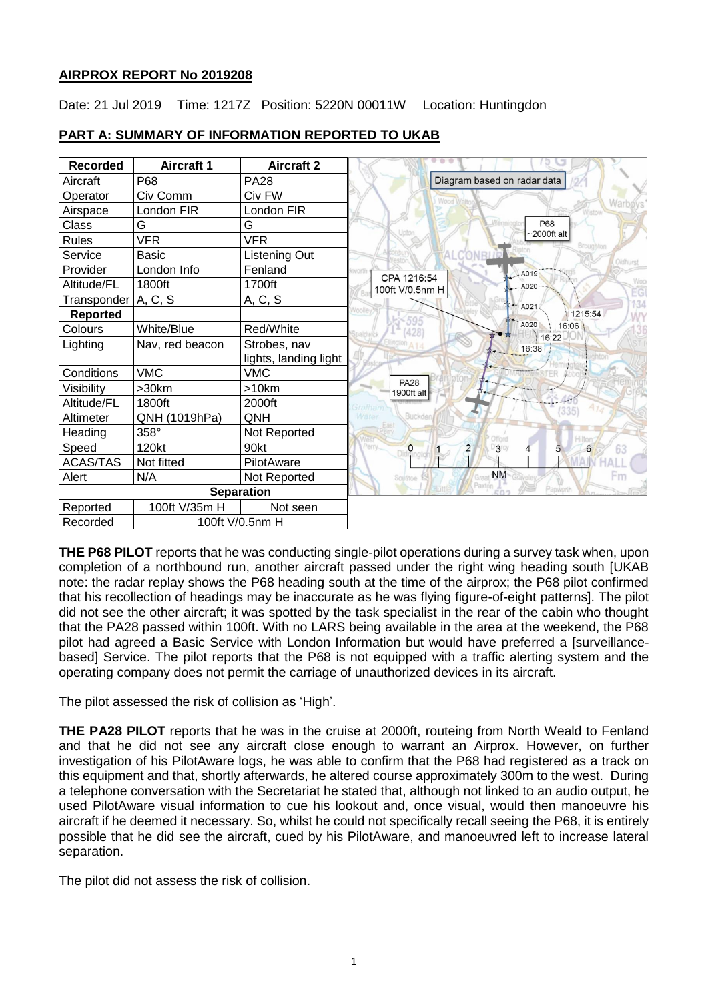# **AIRPROX REPORT No 2019208**

Date: 21 Jul 2019 Time: 1217Z Position: 5220N 00011W Location: Huntingdon

| <b>Recorded</b>             | <b>Aircraft 1</b> | <b>Aircraft 2</b>     |                                                   |
|-----------------------------|-------------------|-----------------------|---------------------------------------------------|
| Aircraft                    | P68               | <b>PA28</b>           | Diagram based on radar data                       |
| Operator                    | Civ Comm          | Civ FW                |                                                   |
| Airspace                    | London FIR        | London FIR            | Warboys'                                          |
| Class                       | G                 | G                     | P68                                               |
| <b>Rules</b>                | <b>VFR</b>        | <b>VFR</b>            | $\sim$ 2000ft alt<br>Broughton                    |
| Service                     | Basic             | Listening Out         | Oldhurs                                           |
| Provider                    | London Info       | Fenland               | worti<br>A019                                     |
| Altitude/FL                 | 1800ft            | 1700ft                | CPA 1216:54<br>A020<br>100ft V/0.5nm H            |
| Transponder   A, C, S       |                   | A, C, S               | $-4.4021$                                         |
| Reported                    |                   |                       | oolle<br>1215:54<br>595                           |
| Colours                     | White/Blue        | Red/White             | A020<br>16:06<br>428                              |
| Lighting                    | Nav, red beacon   | Strobes, nav          | 16:22<br>16:38                                    |
|                             |                   | lights, landing light |                                                   |
| Conditions                  | <b>VMC</b>        | <b>VMC</b>            |                                                   |
| Visibility                  | >30km             | >10km                 | <b>PA28</b><br>1900ft alt<br>$+$                  |
| Altitude/FL                 | 1800ft            | 2000ft                | (335)                                             |
| Altimeter                   | QNH (1019hPa)     | QNH                   | Buckder<br><b>Nater</b>                           |
| Heading                     | 358°              | Not Reported          |                                                   |
| Speed                       | 120kt             | 90kt                  | $\overline{\mathbf{c}}$<br>3<br>6<br>0<br>63<br>5 |
| ACAS/TAS                    | Not fitted        | PilotAware            |                                                   |
| Alert                       | N/A               | Not Reported          | <b>NM</b><br>Em<br>Southoe                        |
| <b>Separation</b>           |                   |                       | Papworth                                          |
| Reported                    | 100ft V/35m H     | Not seen              |                                                   |
| 100ft V/0.5nm H<br>Recorded |                   |                       |                                                   |

# **PART A: SUMMARY OF INFORMATION REPORTED TO UKAB**

**THE P68 PILOT** reports that he was conducting single-pilot operations during a survey task when, upon completion of a northbound run, another aircraft passed under the right wing heading south [UKAB note: the radar replay shows the P68 heading south at the time of the airprox; the P68 pilot confirmed that his recollection of headings may be inaccurate as he was flying figure-of-eight patterns]. The pilot did not see the other aircraft; it was spotted by the task specialist in the rear of the cabin who thought that the PA28 passed within 100ft. With no LARS being available in the area at the weekend, the P68 pilot had agreed a Basic Service with London Information but would have preferred a [surveillancebased] Service. The pilot reports that the P68 is not equipped with a traffic alerting system and the operating company does not permit the carriage of unauthorized devices in its aircraft.

The pilot assessed the risk of collision as 'High'.

**THE PA28 PILOT** reports that he was in the cruise at 2000ft, routeing from North Weald to Fenland and that he did not see any aircraft close enough to warrant an Airprox. However, on further investigation of his PilotAware logs, he was able to confirm that the P68 had registered as a track on this equipment and that, shortly afterwards, he altered course approximately 300m to the west. During a telephone conversation with the Secretariat he stated that, although not linked to an audio output, he used PilotAware visual information to cue his lookout and, once visual, would then manoeuvre his aircraft if he deemed it necessary. So, whilst he could not specifically recall seeing the P68, it is entirely possible that he did see the aircraft, cued by his PilotAware, and manoeuvred left to increase lateral separation.

The pilot did not assess the risk of collision.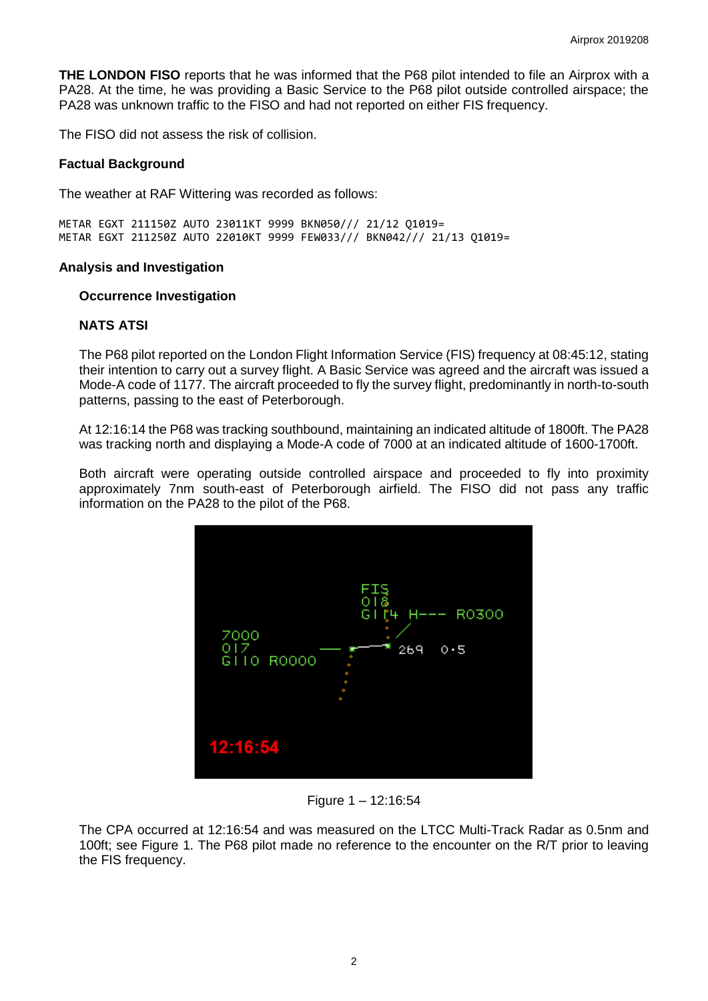**THE LONDON FISO** reports that he was informed that the P68 pilot intended to file an Airprox with a PA28. At the time, he was providing a Basic Service to the P68 pilot outside controlled airspace; the PA28 was unknown traffic to the FISO and had not reported on either FIS frequency.

The FISO did not assess the risk of collision.

### **Factual Background**

The weather at RAF Wittering was recorded as follows:

METAR EGXT 211150Z AUTO 23011KT 9999 BKN050/// 21/12 Q1019= METAR EGXT 211250Z AUTO 22010KT 9999 FEW033/// BKN042/// 21/13 Q1019=

## **Analysis and Investigation**

### **Occurrence Investigation**

## **NATS ATSI**

The P68 pilot reported on the London Flight Information Service (FIS) frequency at 08:45:12, stating their intention to carry out a survey flight. A Basic Service was agreed and the aircraft was issued a Mode-A code of 1177. The aircraft proceeded to fly the survey flight, predominantly in north-to-south patterns, passing to the east of Peterborough.

At 12:16:14 the P68 was tracking southbound, maintaining an indicated altitude of 1800ft. The PA28 was tracking north and displaying a Mode-A code of 7000 at an indicated altitude of 1600-1700ft.

Both aircraft were operating outside controlled airspace and proceeded to fly into proximity approximately 7nm south-east of Peterborough airfield. The FISO did not pass any traffic information on the PA28 to the pilot of the P68.



Figure 1 – 12:16:54

The CPA occurred at 12:16:54 and was measured on the LTCC Multi-Track Radar as 0.5nm and 100ft; see Figure 1. The P68 pilot made no reference to the encounter on the R/T prior to leaving the FIS frequency.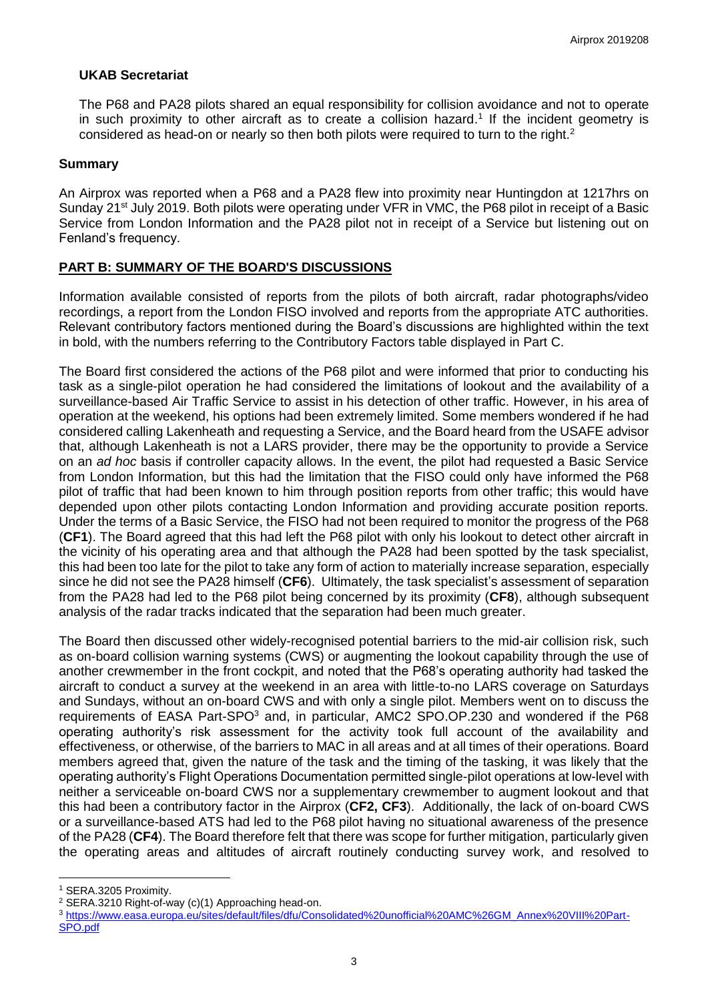# **UKAB Secretariat**

The P68 and PA28 pilots shared an equal responsibility for collision avoidance and not to operate in such proximity to other aircraft as to create a collision hazard.<sup>1</sup> If the incident geometry is considered as head-on or nearly so then both pilots were required to turn to the right.<sup>2</sup>

### **Summary**

An Airprox was reported when a P68 and a PA28 flew into proximity near Huntingdon at 1217hrs on Sunday 21<sup>st</sup> July 2019. Both pilots were operating under VFR in VMC, the P68 pilot in receipt of a Basic Service from London Information and the PA28 pilot not in receipt of a Service but listening out on Fenland's frequency.

# **PART B: SUMMARY OF THE BOARD'S DISCUSSIONS**

Information available consisted of reports from the pilots of both aircraft, radar photographs/video recordings, a report from the London FISO involved and reports from the appropriate ATC authorities. Relevant contributory factors mentioned during the Board's discussions are highlighted within the text in bold, with the numbers referring to the Contributory Factors table displayed in Part C.

The Board first considered the actions of the P68 pilot and were informed that prior to conducting his task as a single-pilot operation he had considered the limitations of lookout and the availability of a surveillance-based Air Traffic Service to assist in his detection of other traffic. However, in his area of operation at the weekend, his options had been extremely limited. Some members wondered if he had considered calling Lakenheath and requesting a Service, and the Board heard from the USAFE advisor that, although Lakenheath is not a LARS provider, there may be the opportunity to provide a Service on an *ad hoc* basis if controller capacity allows. In the event, the pilot had requested a Basic Service from London Information, but this had the limitation that the FISO could only have informed the P68 pilot of traffic that had been known to him through position reports from other traffic; this would have depended upon other pilots contacting London Information and providing accurate position reports. Under the terms of a Basic Service, the FISO had not been required to monitor the progress of the P68 (**CF1**). The Board agreed that this had left the P68 pilot with only his lookout to detect other aircraft in the vicinity of his operating area and that although the PA28 had been spotted by the task specialist, this had been too late for the pilot to take any form of action to materially increase separation, especially since he did not see the PA28 himself (**CF6**). Ultimately, the task specialist's assessment of separation from the PA28 had led to the P68 pilot being concerned by its proximity (**CF8**), although subsequent analysis of the radar tracks indicated that the separation had been much greater.

The Board then discussed other widely-recognised potential barriers to the mid-air collision risk, such as on-board collision warning systems (CWS) or augmenting the lookout capability through the use of another crewmember in the front cockpit, and noted that the P68's operating authority had tasked the aircraft to conduct a survey at the weekend in an area with little-to-no LARS coverage on Saturdays and Sundays, without an on-board CWS and with only a single pilot. Members went on to discuss the requirements of EASA Part-SPO<sup>3</sup> and, in particular, AMC2 SPO.OP.230 and wondered if the P68 operating authority's risk assessment for the activity took full account of the availability and effectiveness, or otherwise, of the barriers to MAC in all areas and at all times of their operations. Board members agreed that, given the nature of the task and the timing of the tasking, it was likely that the operating authority's Flight Operations Documentation permitted single-pilot operations at low-level with neither a serviceable on-board CWS nor a supplementary crewmember to augment lookout and that this had been a contributory factor in the Airprox (**CF2, CF3**). Additionally, the lack of on-board CWS or a surveillance-based ATS had led to the P68 pilot having no situational awareness of the presence of the PA28 (**CF4**). The Board therefore felt that there was scope for further mitigation, particularly given the operating areas and altitudes of aircraft routinely conducting survey work, and resolved to

 $\overline{\phantom{a}}$ 

<sup>1</sup> SERA.3205 Proximity.

<sup>2</sup> SERA.3210 Right-of-way (c)(1) Approaching head-on.

<sup>3</sup> [https://www.easa.europa.eu/sites/default/files/dfu/Consolidated%20unofficial%20AMC%26GM\\_Annex%20VIII%20Part-](https://www.easa.europa.eu/sites/default/files/dfu/Consolidated%20unofficial%20AMC%26GM_Annex%20VIII%20Part-SPO.pdf)[SPO.pdf](https://www.easa.europa.eu/sites/default/files/dfu/Consolidated%20unofficial%20AMC%26GM_Annex%20VIII%20Part-SPO.pdf)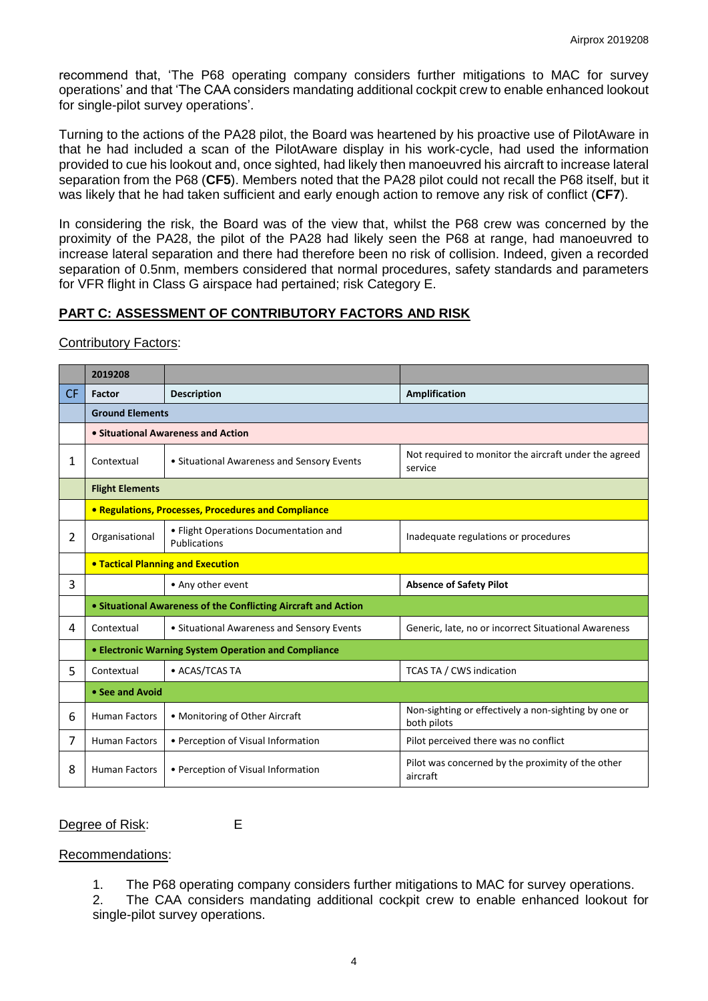recommend that, 'The P68 operating company considers further mitigations to MAC for survey operations' and that 'The CAA considers mandating additional cockpit crew to enable enhanced lookout for single-pilot survey operations'.

Turning to the actions of the PA28 pilot, the Board was heartened by his proactive use of PilotAware in that he had included a scan of the PilotAware display in his work-cycle, had used the information provided to cue his lookout and, once sighted, had likely then manoeuvred his aircraft to increase lateral separation from the P68 (**CF5**). Members noted that the PA28 pilot could not recall the P68 itself, but it was likely that he had taken sufficient and early enough action to remove any risk of conflict (**CF7**).

In considering the risk, the Board was of the view that, whilst the P68 crew was concerned by the proximity of the PA28, the pilot of the PA28 had likely seen the P68 at range, had manoeuvred to increase lateral separation and there had therefore been no risk of collision. Indeed, given a recorded separation of 0.5nm, members considered that normal procedures, safety standards and parameters for VFR flight in Class G airspace had pertained; risk Category E.

## **PART C: ASSESSMENT OF CONTRIBUTORY FACTORS AND RISK**

#### Contributory Factors:

|    | 2019208                                                        |                                                       |                                                                     |  |  |  |  |  |  |
|----|----------------------------------------------------------------|-------------------------------------------------------|---------------------------------------------------------------------|--|--|--|--|--|--|
| CF | Factor                                                         | <b>Description</b>                                    | Amplification                                                       |  |  |  |  |  |  |
|    | <b>Ground Elements</b>                                         |                                                       |                                                                     |  |  |  |  |  |  |
|    | • Situational Awareness and Action                             |                                                       |                                                                     |  |  |  |  |  |  |
| 1  | Contextual                                                     | • Situational Awareness and Sensory Events            | Not required to monitor the aircraft under the agreed<br>service    |  |  |  |  |  |  |
|    | <b>Flight Elements</b>                                         |                                                       |                                                                     |  |  |  |  |  |  |
|    | <b>• Regulations, Processes, Procedures and Compliance</b>     |                                                       |                                                                     |  |  |  |  |  |  |
| 2  | Organisational                                                 | • Flight Operations Documentation and<br>Publications | Inadequate regulations or procedures                                |  |  |  |  |  |  |
|    | <b>. Tactical Planning and Execution</b>                       |                                                       |                                                                     |  |  |  |  |  |  |
| 3  | • Any other event                                              |                                                       | <b>Absence of Safety Pilot</b>                                      |  |  |  |  |  |  |
|    | • Situational Awareness of the Conflicting Aircraft and Action |                                                       |                                                                     |  |  |  |  |  |  |
| 4  | Contextual                                                     | • Situational Awareness and Sensory Events            | Generic, late, no or incorrect Situational Awareness                |  |  |  |  |  |  |
|    | • Electronic Warning System Operation and Compliance           |                                                       |                                                                     |  |  |  |  |  |  |
| 5  | Contextual                                                     | • ACAS/TCAS TA<br><b>TCAS TA / CWS indication</b>     |                                                                     |  |  |  |  |  |  |
|    | • See and Avoid                                                |                                                       |                                                                     |  |  |  |  |  |  |
| 6  | <b>Human Factors</b>                                           | • Monitoring of Other Aircraft                        | Non-sighting or effectively a non-sighting by one or<br>both pilots |  |  |  |  |  |  |
| 7  | <b>Human Factors</b>                                           | • Perception of Visual Information                    | Pilot perceived there was no conflict                               |  |  |  |  |  |  |
| 8  | <b>Human Factors</b>                                           | • Perception of Visual Information                    | Pilot was concerned by the proximity of the other<br>aircraft       |  |  |  |  |  |  |

Degree of Risk: E

### Recommendations:

1. The P68 operating company considers further mitigations to MAC for survey operations.

2. The CAA considers mandating additional cockpit crew to enable enhanced lookout for single-pilot survey operations.